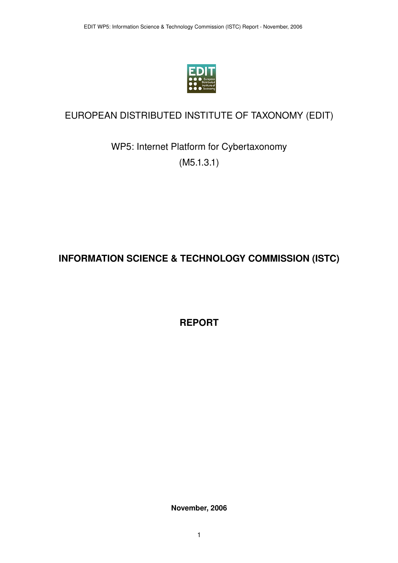

## EUROPEAN DISTRIBUTED INSTITUTE OF TAXONOMY (EDIT)

WP5: Internet Platform for Cybertaxonomy (M5.1.3.1)

# **INFORMATION SCIENCE & TECHNOLOGY COMMISSION (ISTC)**

**REPORT**

**November, 2006**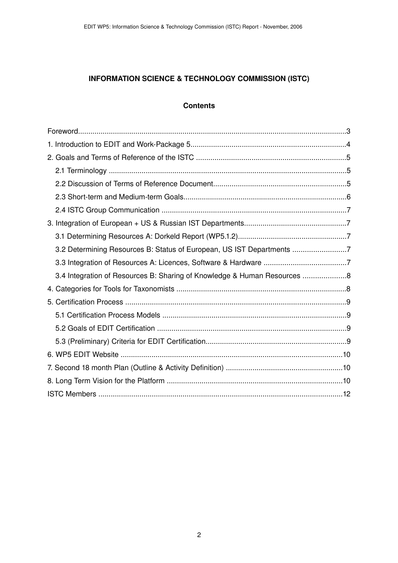## **INFORMATION SCIENCE & TECHNOLOGY COMMISSION (ISTC)**

#### <span id="page-1-16"></span><span id="page-1-15"></span><span id="page-1-14"></span><span id="page-1-13"></span><span id="page-1-12"></span><span id="page-1-11"></span><span id="page-1-10"></span><span id="page-1-9"></span><span id="page-1-8"></span><span id="page-1-7"></span><span id="page-1-6"></span><span id="page-1-5"></span><span id="page-1-4"></span><span id="page-1-3"></span><span id="page-1-2"></span><span id="page-1-1"></span><span id="page-1-0"></span>**Contents**

| 3.2 Determining Resources B: Status of European, US IST Departments 7    |  |
|--------------------------------------------------------------------------|--|
|                                                                          |  |
| 3.4 Integration of Resources B: Sharing of Knowledge & Human Resources 8 |  |
|                                                                          |  |
|                                                                          |  |
|                                                                          |  |
|                                                                          |  |
|                                                                          |  |
|                                                                          |  |
|                                                                          |  |
|                                                                          |  |
|                                                                          |  |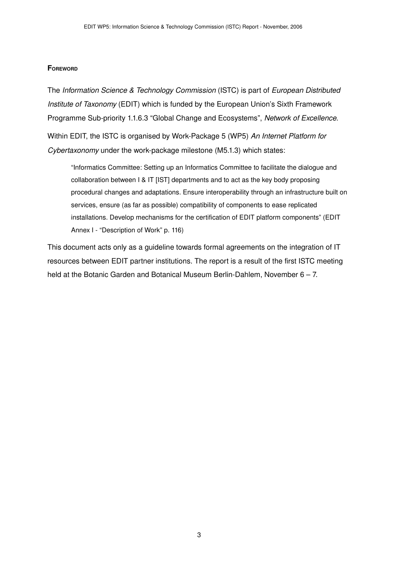#### <span id="page-2-0"></span>**FOREWORD**

The *Information Science & Technology Commission* (ISTC) is part of *European Distributed Institute of Taxonomy* (EDIT) which is funded by the European Union's Sixth Framework Programme Sub-priority 1.1.6.3 "Global Change and Ecosystems", *Network of Excellence*.

Within EDIT, the ISTC is organised by WorkPackage 5 (WP5) *An Internet Platform for Cybertaxonomy* under the work-package milestone (M5.1.3) which states:

"Informatics Committee: Setting up an Informatics Committee to facilitate the dialogue and collaboration between I & IT [IST] departments and to act as the key body proposing procedural changes and adaptations. Ensure interoperability through an infrastructure built on services, ensure (as far as possible) compatibility of components to ease replicated installations. Develop mechanisms for the certification of EDIT platform components" (EDIT Annex I - "Description of Work" p. 116)

This document acts only as a guideline towards formal agreements on the integration of IT resources between EDIT partner institutions. The report is a result of the first ISTC meeting held at the Botanic Garden and Botanical Museum Berlin-Dahlem, November  $6 - 7$ .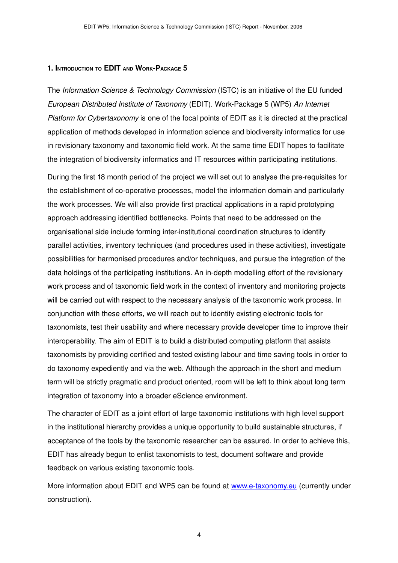#### **1. INTRODUCTION TO EDIT AND WORKPACKAGE 5**

The *Information Science & Technology Commission* (ISTC) is an initiative of the EU funded *European Distributed Institute of Taxonomy* (EDIT). Work-Package 5 (WP5) An Internet *Platform for Cybertaxonomy* is one of the focal points of EDIT as it is directed at the practical application of methods developed in information science and biodiversity informatics for use in revisionary taxonomy and taxonomic field work. At the same time EDIT hopes to facilitate the integration of biodiversity informatics and IT resources within participating institutions.

During the first 18 month period of the project we will set out to analyse the pre-requisites for the establishment of co-operative processes, model the information domain and particularly the work processes. We will also provide first practical applications in a rapid prototyping approach addressing identified bottlenecks. Points that need to be addressed on the organisational side include forming inter-institutional coordination structures to identify parallel activities, inventory techniques (and procedures used in these activities), investigate possibilities for harmonised procedures and/or techniques, and pursue the integration of the data holdings of the participating institutions. An in-depth modelling effort of the revisionary work process and of taxonomic field work in the context of inventory and monitoring projects will be carried out with respect to the necessary analysis of the taxonomic work process. In conjunction with these efforts, we will reach out to identify existing electronic tools for taxonomists, test their usability and where necessary provide developer time to improve their interoperability. The aim of EDIT is to build a distributed computing platform that assists taxonomists by providing certified and tested existing labour and time saving tools in order to do taxonomy expediently and via the web. Although the approach in the short and medium term will be strictly pragmatic and product oriented, room will be left to think about long term integration of taxonomy into a broader eScience environment.

The character of EDIT as a joint effort of large taxonomic institutions with high level support in the institutional hierarchy provides a unique opportunity to build sustainable structures, if acceptance of the tools by the taxonomic researcher can be assured. In order to achieve this, EDIT has already begun to enlist taxonomists to test, document software and provide feedback on various existing taxonomic tools.

More information about EDIT and WP5 can be found at www.e-taxonomy.eu (currently under construction).

4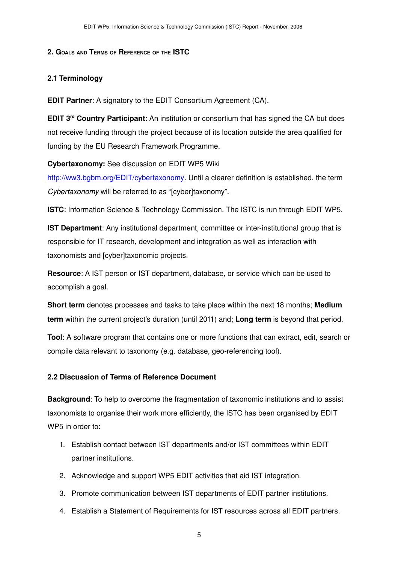#### **2. GOALS AND TERMS OF REFERENCE OF THE ISTC**

#### **2.1 Terminology**

**EDIT Partner**: A signatory to the EDIT Consortium Agreement (CA).

**EDIT 3<sup>rd</sup> Country Participant**: An institution or consortium that has signed the CA but does not receive funding through the project because of its location outside the area qualified for funding by the EU Research Framework Programme.

**Cybertaxonomy:** See discussion on EDIT WP5 Wiki

[http://ww3.bgbm.org/EDIT/cybertaxonomy.](http://ww3.bgbm.org/EDIT/cybertaxonomy) Until a clearer definition is established, the term *Cybertaxonomy* will be referred to as "[cyber]taxonomy".

**ISTC**: Information Science & Technology Commission. The ISTC is run through EDIT WP5.

**IST Department:** Any institutional department, committee or inter-institutional group that is responsible for IT research, development and integration as well as interaction with taxonomists and [cyber]taxonomic projects.

**Resource**: A IST person or IST department, database, or service which can be used to accomplish a goal.

**Short term** denotes processes and tasks to take place within the next 18 months; **Medium term** within the current project's duration (until 2011) and; **Long term** is beyond that period.

**Tool**: A software program that contains one or more functions that can extract, edit, search or compile data relevant to taxonomy (e.g. database, geo-referencing tool).

## <span id="page-4-0"></span>**2.2 Discussion of Terms of Reference Document**

**Background**: To help to overcome the fragmentation of taxonomic institutions and to assist taxonomists to organise their work more efficiently, the ISTC has been organised by EDIT WP5 in order to:

- 1. Establish contact between IST departments and/or IST committees within EDIT partner institutions.
- 2. Acknowledge and support WP5 EDIT activities that aid IST integration.
- 3. Promote communication between IST departments of EDIT partner institutions.
- 4. Establish a Statement of Requirements for IST resources across all EDIT partners.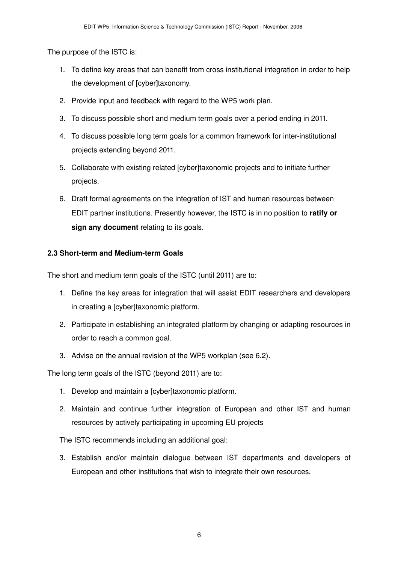The purpose of the ISTC is:

- 1. To define key areas that can benefit from cross institutional integration in order to help the development of [cyber]taxonomy.
- 2. Provide input and feedback with regard to the WP5 work plan.
- 3. To discuss possible short and medium term goals over a period ending in 2011.
- 4. To discuss possible long term goals for a common framework for interinstitutional projects extending beyond 2011.
- 5. Collaborate with existing related [cyber]taxonomic projects and to initiate further projects.
- 6. Draft formal agreements on the integration of IST and human resources between EDIT partner institutions. Presently however, the ISTC is in no position to **ratify or sign any document** relating to its goals.

## **2.3 Short-term and Medium-term Goals**

The short and medium term goals of the ISTC (until 2011) are to:

- 1. Define the key areas for integration that will assist EDIT researchers and developers in creating a [cyber]taxonomic platform.
- 2. Participate in establishing an integrated platform by changing or adapting resources in order to reach a common goal.
- 3. Advise on the annual revision of the WP5 workplan (see 6.2).

The long term goals of the ISTC (beyond 2011) are to:

- 1. Develop and maintain a [cyber]taxonomic platform.
- 2. Maintain and continue further integration of European and other IST and human resources by actively participating in upcoming EU projects

The ISTC recommends including an additional goal:

3. Establish and/or maintain dialogue between IST departments and developers of European and other institutions that wish to integrate their own resources.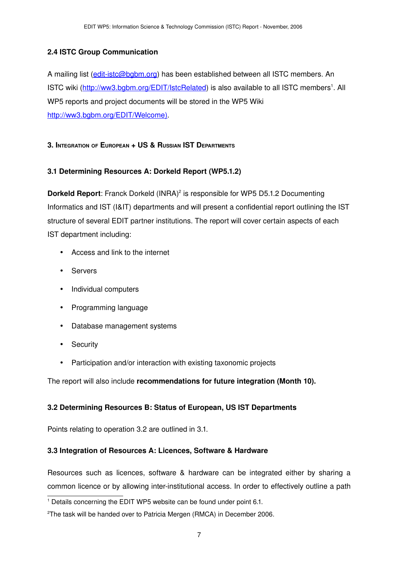## **2.4 ISTC Group Communication**

A mailing list (edit-istc@bgbm.org) has been established between all ISTC members. An ISTC wiki [\(http://ww3.bgbm.org/EDIT/IstcRelated](http://ww3.bgbm.org/EDIT/IstcRelated)) is also available to all ISTC members<sup>[1](#page-6-1)</sup>. All WP5 reports and project documents will be stored in the WP5 Wiki <http://ww3.bgbm.org/EDIT/Welcome>[\)](http://ww3.bgbm.org/EDIT/IstcRelated).

#### **3. INTEGRATION OF EUROPEAN + US & RUSSIAN IST DEPARTMENTS**

## **3.1 Determining Resources A: Dorkeld Report (WP5.1.2)**

**Dorkeld Report**: Franck Dorkeld (INRA) [2](#page-6-2) is responsible for WP5 D5.1.2 Documenting Informatics and IST (I&IT) departments and will present a confidential report outlining the IST structure of several EDIT partner institutions. The report will cover certain aspects of each IST department including:

- Access and link to the internet
- Servers
- Individual computers
- Programming language
- Database management systems
- Security
- Participation and/or interaction with existing taxonomic projects

The report will also include **recommendations for future integration (Month 10).**

## **3.2 Determining Resources B: Status of European, US IST Departments**

Points relating to operation 3.2 are outlined in 3.1.

## <span id="page-6-0"></span>**3.3 Integration of Resources A: Licences, Software & Hardware**

Resources such as licences, software & hardware can be integrated either by sharing a common licence or by allowing inter-institutional access. In order to effectively outline a path

<span id="page-6-1"></span><sup>&</sup>lt;sup>1</sup> Details concerning the EDIT WP5 website can be found under point 6.1.

<span id="page-6-2"></span><sup>2</sup>The task will be handed over to Patricia Mergen (RMCA) in December 2006.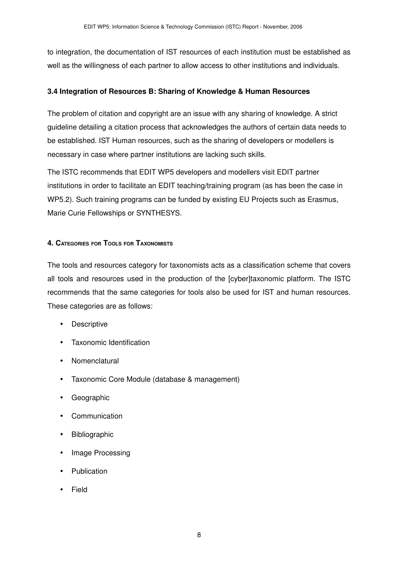to integration, the documentation of IST resources of each institution must be established as well as the willingness of each partner to allow access to other institutions and individuals.

#### **3.4 Integration of Resources B: Sharing of Knowledge & Human Resources**

The problem of citation and copyright are an issue with any sharing of knowledge. A strict guideline detailing a citation process that acknowledges the authors of certain data needs to be established. IST Human resources, such as the sharing of developers or modellers is necessary in case where partner institutions are lacking such skills.

The ISTC recommends that EDIT WP5 developers and modellers visit EDIT partner institutions in order to facilitate an EDIT teaching/training program (as has been the case in WP5.2). Such training programs can be funded by existing EU Projects such as Erasmus, Marie Curie Fellowships or SYNTHESYS.

#### **4. CATEGORIES FOR TOOLS FOR TAXONOMISTS**

The tools and resources category for taxonomists acts as a classification scheme that covers all tools and resources used in the production of the [cyber]taxonomic platform. The ISTC recommends that the same categories for tools also be used for IST and human resources. These categories are as follows:

- Descriptive
- Taxonomic Identification
- Nomenclatural
- Taxonomic Core Module (database & management)
- Geographic
- **Communication**
- Bibliographic
- Image Processing
- **Publication**
- Field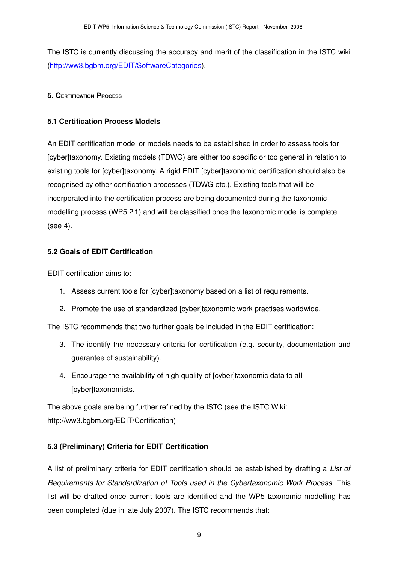The ISTC is currently discussing the accuracy and merit of the classification in the ISTC wiki [\(http://ww3.bgbm.org/EDIT/SoftwareCategories](http://ww3.bgbm.org/EDIT/SoftwareCategories)).

#### **5. CERTIFICATION PROCESS**

#### **5.1 Certification Process Models**

An EDIT certification model or models needs to be established in order to assess tools for [cyber]taxonomy. Existing models (TDWG) are either too specific or too general in relation to existing tools for [cyber]taxonomy. A rigid EDIT [cyber]taxonomic certification should also be recognised by other certification processes (TDWG etc.). Existing tools that will be incorporated into the certification process are being documented during the taxonomic modelling process (WP5.2.1) and will be classified once the taxonomic model is complete (see 4).

## **5.2 Goals of EDIT Certification**

EDIT certification aims to:

- 1. Assess current tools for [cyber]taxonomy based on a list of requirements.
- 2. Promote the use of standardized [cyber]taxonomic work practises worldwide.

The ISTC recommends that two further goals be included in the EDIT certification:

- 3. The identify the necessary criteria for certification (e.g. security, documentation and guarantee of sustainability).
- 4. Encourage the availability of high quality of [cyber]taxonomic data to all [cyber]taxonomists.

The above goals are being further refined by the ISTC (see the ISTC Wiki: http://ww3.bgbm.org/EDIT/Certification)

## **5.3 (Preliminary) Criteria for EDIT Certification**

A list of preliminary criteria for EDIT certification should be established by drafting a *List of Requirements for Standardization of Tools used in the Cybertaxonomic Work Process*. This list will be drafted once current tools are identified and the WP5 taxonomic modelling has been completed (due in late July 2007). The ISTC recommends that: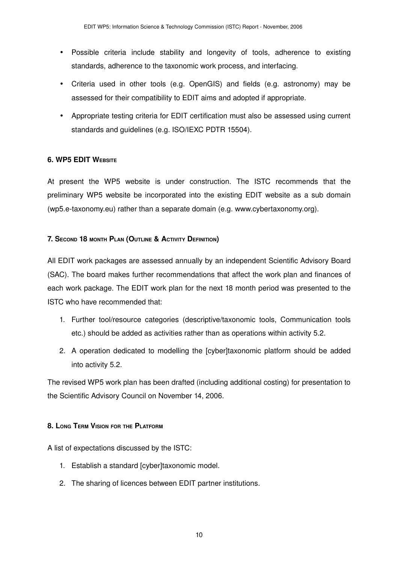- Possible criteria include stability and longevity of tools, adherence to existing standards, adherence to the taxonomic work process, and interfacing.
- Criteria used in other tools (e.g. OpenGIS) and fields (e.g. astronomy) may be assessed for their compatibility to EDIT aims and adopted if appropriate.
- Appropriate testing criteria for EDIT certification must also be assessed using current standards and guidelines (e.g. ISO/IEXC PDTR 15504).

#### **6. WP5 EDIT WEBSITE**

At present the WP5 website is under construction. The ISTC recommends that the preliminary WP5 website be incorporated into the existing EDIT website as a sub domain (wp5.etaxonomy.eu) rather than a separate domain (e.g. www.cybertaxonomy.org).

#### **7. SECOND 18 MONTH PLAN (OUTLINE & ACTIVITY DEFINITION)**

All EDIT work packages are assessed annually by an independent Scientific Advisory Board (SAC). The board makes further recommendations that affect the work plan and finances of each work package. The EDIT work plan for the next 18 month period was presented to the ISTC who have recommended that:

- 1. Further tool/resource categories (descriptive/taxonomic tools, Communication tools etc.) should be added as activities rather than as operations within activity 5.2.
- 2. A operation dedicated to modelling the [cyber]taxonomic platform should be added into activity 5.2.

The revised WP5 work plan has been drafted (including additional costing) for presentation to the Scientific Advisory Council on November 14, 2006.

#### **8. LONG TERM VISION FOR THE PLATFORM**

A list of expectations discussed by the ISTC:

- 1. Establish a standard [cyber]taxonomic model.
- 2. The sharing of licences between EDIT partner institutions.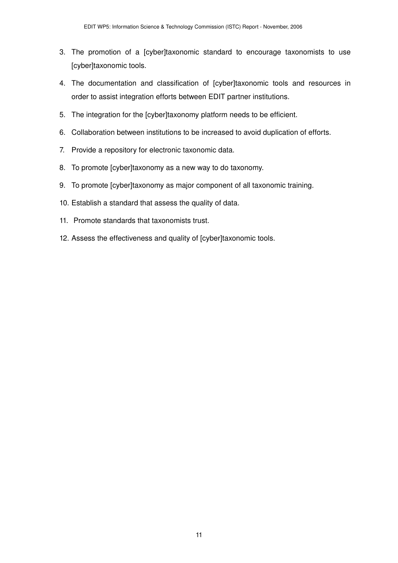- 3. The promotion of a [cyber]taxonomic standard to encourage taxonomists to use [cyber]taxonomic tools.
- 4. The documentation and classification of [cyber]taxonomic tools and resources in order to assist integration efforts between EDIT partner institutions.
- 5. The integration for the [cyber]taxonomy platform needs to be efficient.
- 6. Collaboration between institutions to be increased to avoid duplication of efforts.
- 7. Provide a repository for electronic taxonomic data.
- 8. To promote [cyber]taxonomy as a new way to do taxonomy.
- 9. To promote [cyber]taxonomy as major component of all taxonomic training.
- 10. Establish a standard that assess the quality of data.
- 11. Promote standards that taxonomists trust.
- 12. Assess the effectiveness and quality of [cyber]taxonomic tools.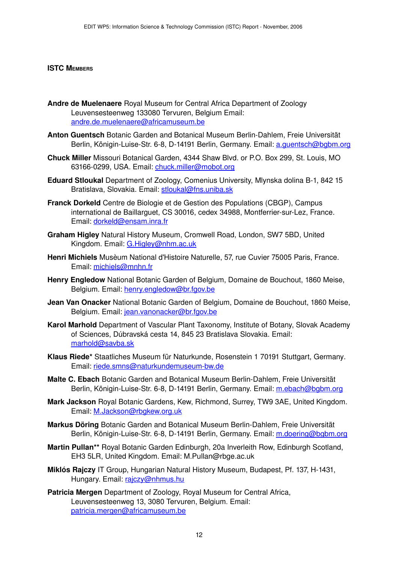#### <span id="page-11-0"></span>**ISTC MEMBERS**

- **Andre de Muelenaere** Royal Museum for Central Africa Department of Zoology Leuvensesteenweg 133080 Tervuren, Belgium Email: [andre.de.muelenaere@africamuseum.be](mailto:andre.de.muelenaere@africamuseum.be)
- **Anton Guentsch** Botanic Garden and Botanical Museum Berlin-Dahlem, Freie Universität Berlin, Königin-Luise-Str. 6-8, D-14191 Berlin, Germany. Email: [a.guentsch@bgbm.org](mailto:a.guentsch@bgbm.org)
- **Chuck Miller** Missouri Botanical Garden, 4344 Shaw Blvd. or P.O. Box 299, St. Louis, MO 63166-0299, USA. Email: [chuck.miller@mobot.org](mailto:chuck.miller@mobot.org)
- **Eduard Stloukal** Department of Zoology, Comenius University, Mlynska dolina B-1, 842 15 Bratislava, Slovakia. Email: [stloukal@fns.uniba.sk](mailto:stloukal@fns.uniba.sk)
- **Franck Dorkeld** Centre de Biologie et de Gestion des Populations (CBGP), Campus international de Baillarguet, CS 30016, cedex 34988, Montferrier-sur-Lez, France. Email: [dorkeld@ensam.inra.fr](mailto:dorkeld@ensam.inra.fr)
- **Graham Higley** Natural History Museum, Cromwell Road, London, SW7 5BD, United Kingdom. Email: [G.Higley@nhm.ac.uk](mailto:G.Higley@nhm.ac.uk)
- **Henri Michiels** Musèum National d'Histoire Naturelle, 57, rue Cuvier 75005 Paris, France. Email: [michiels@mnhn.fr](mailto:michiels@mnhn.fr)
- **Henry Engledow** National Botanic Garden of Belgium, Domaine de Bouchout, 1860 Meise, Belgium. Email: [henry.engledow@br.fgov.be](mailto:henry.engledow@br.fgov.be)
- **Jean Van Onacker** National Botanic Garden of Belgium, Domaine de Bouchout, 1860 Meise, Belgium. Email: [jean.vanonacker@br.fgov.be](mailto:jean.vanonacker@br.fgov.be)
- **Karol Marhold** Department of Vascular Plant Taxonomy, Institute of Botany, Slovak Academy of Sciences, Dúbravská cesta 14, 845 23 Bratislava Slovakia. Email: [marhold@savba.sk](mailto:marhold@savba.sk)
- **Klaus Riede\*** Staatliches Museum für Naturkunde, Rosenstein 1 70191 Stuttgart, Germany. Email: riede.smns@naturkundemuseum-bw.de
- **Malte C. Ebach** Botanic Garden and Botanical Museum Berlin-Dahlem, Freie Universität Berlin, Königin-Luise-Str. 6-8, D-14191 Berlin, Germany. Email: [m.ebach@bgbm.org](mailto:m.ebach@bgbm.org)
- **Mark Jackson** Royal Botanic Gardens, Kew, Richmond, Surrey, TW9 3AE, United Kingdom. Email: [M.Jackson@rbgkew.org.uk](mailto:M.Jackson@rbgkew.org.uk)
- **Markus Döring** Botanic Garden and Botanical Museum Berlin-Dahlem, Freie Universität Berlin, Königin-Luise-Str. 6-8, D-14191 Berlin, Germany. Email: [m.doering@bgbm.org](mailto:m.doering@bgbm.org)
- **Martin Pullan\*\*** Royal Botanic Garden Edinburgh, 20a Inverleith Row, Edinburgh Scotland, EH3 5LR, United Kingdom. Email: M.Pullan@rbge.ac.uk
- **Miklós Rajczy** IT Group, Hungarian Natural History Museum, Budapest, Pf. 137, H-1431, Hungary. Email: [rajczy@nhmus.hu](mailto:rajczy@nhmus.hu)
- **Patricia Mergen** Department of Zoology, Royal Museum for Central Africa, Leuvensesteenweg 13, 3080 Tervuren, Belgium. Email: [patricia.mergen@africamuseum.be](mailto:patricia.mergen@africamuseum.be)